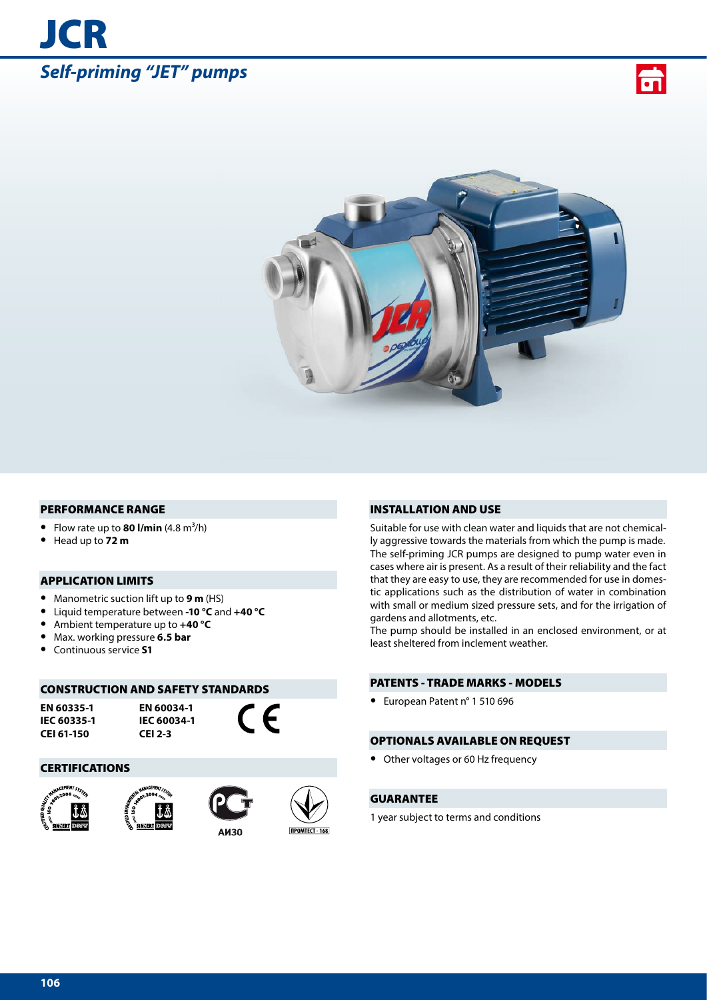# *Self-priming "JET" pumps*

**JCR** 





#### PERFORMANCE RANGE

- Flow rate up to **80 l/min**  $(4.8 \text{ m}^3/\text{h})$
- **•** Head up to **72 m**

# APPLICATION LIMITS

- **•** Manometric suction lift up to **9 m** (HS)
- **•** Liquid temperature between **-10 °C** and **+40 °C**
- **•** Ambient temperature up to **+40 °C**
- **•** Max. working pressure **6.5 bar**
- **•** Continuous service **S1**

## CONSTRUCTION AND SAFETY STANDARDS

**EN 60335-1 IEC 60335-1 CEI 61-150**

**EN 60034-1 IEC 60034-1 CEI 2-3**

 $\epsilon$ 

#### CERTIFICATIONS









INSTALLATION AND USE

Suitable for use with clean water and liquids that are not chemically aggressive towards the materials from which the pump is made. The self-priming JCR pumps are designed to pump water even in cases where air is present. As a result of their reliability and the fact that they are easy to use, they are recommended for use in domestic applications such as the distribution of water in combination with small or medium sized pressure sets, and for the irrigation of gardens and allotments, etc.

The pump should be installed in an enclosed environment, or at least sheltered from inclement weather.

## PATENTS - TRADE MARKS - MODELS

**•** European Patent n° 1 510 696

#### OPTIONALS AVAILABLE ON REQUEST

**•** Other voltages or 60 Hz frequency

# GUARANTEE

1 year subject to terms and conditions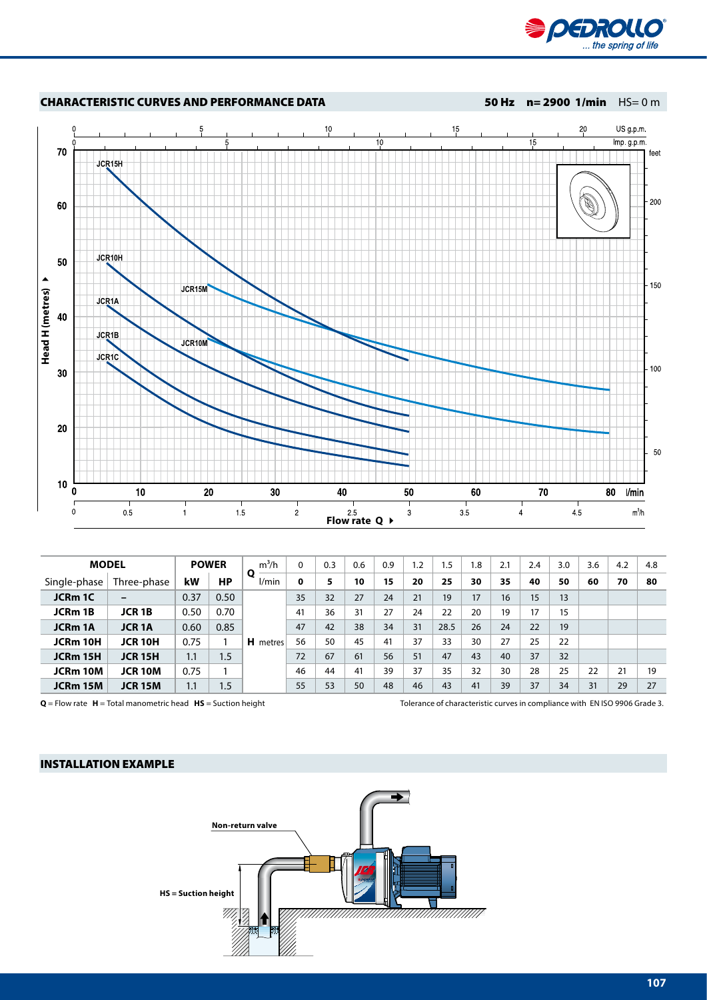



|                 | <b>MODEL</b>            |      | <b>POWER</b> | $m^3/h$         | $\Omega$    | 0.3 | 0.6 | 0.9 | 1.2 | 1.5  | 1.8 | 2.1 | 2.4 | 3.0 | 3.6 | 4.2 | 4.8 |
|-----------------|-------------------------|------|--------------|-----------------|-------------|-----|-----|-----|-----|------|-----|-----|-----|-----|-----|-----|-----|
| Single-phase    | Three-phase             | kW   | НP           | O<br>l/min      | $\mathbf 0$ | 5   | 10  | 15  | 20  | 25   | 30  | 35  | 40  | 50  | 60  | 70  | 80  |
| <b>JCRm 1C</b>  |                         | 0.37 | 0.50         |                 | 35          | 32  | 27  | 24  | 21  | 19   | 17  | 16  | 15  | 13  |     |     |     |
| JCRm 1B         | <b>JCR 1B</b>           | 0.50 | 0.70         |                 | 41          | 36  | 31  | 27  | 24  | 22   | 20  | 19  | 17  | 15  |     |     |     |
| <b>JCRm 1A</b>  | <b>JCR<sub>1</sub>A</b> | 0.60 | 0.85         |                 | 47          | 42  | 38  | 34  | 31  | 28.5 | 26  | 24  | 22  | 19  |     |     |     |
| <b>JCRm 10H</b> | <b>JCR 10H</b>          | 0.75 |              | <b>H</b> metres | 56          | 50  | 45  | 41  | 37  | 33   | 30  | 27  | 25  | 22  |     |     |     |
| JCRm 15H        | <b>JCR 15H</b>          | 1.1  | 1.5          |                 | 72          | 67  | 61  | 56  | 51  | 47   | 43  | 40  | 37  | 32  |     |     |     |
| JCRm 10M        | <b>JCR 10M</b>          | 0.75 |              |                 | 46          | 44  | 41  | 39  | 37  | 35   | 32  | 30  | 28  | 25  | 22  | 21  | 19  |
| JCRm 15M        | <b>JCR 15M</b>          | 1.1  | 1.5          |                 | 55          | 53  | 50  | 48  | 46  | 43   | 41  | 39  | 37  | 34  | 31  | 29  | 27  |

**Q** = Flow rate **H** = Total manometric head **HS** = Suction height Tolerance of characteristic curves in compliance with EN ISO 9906 Grade 3.

## INSTALLATION EXAMPLE

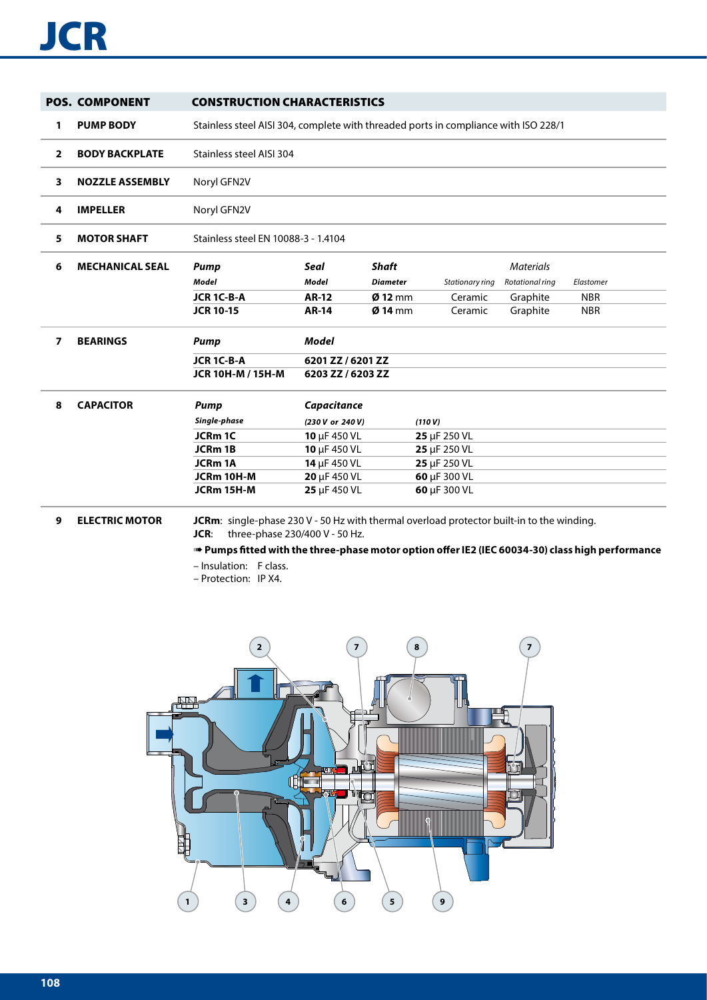# **JCR**

|                | <b>POS. COMPONENT</b>  | <b>CONSTRUCTION CHARACTERISTICS</b>                                                              |                   |                 |                 |                  |            |  |
|----------------|------------------------|--------------------------------------------------------------------------------------------------|-------------------|-----------------|-----------------|------------------|------------|--|
| 1              | <b>PUMP BODY</b>       | Stainless steel AISI 304, complete with threaded ports in compliance with ISO 228/1              |                   |                 |                 |                  |            |  |
| $\overline{2}$ | <b>BODY BACKPLATE</b>  | Stainless steel AISI 304                                                                         |                   |                 |                 |                  |            |  |
| 3              | <b>NOZZLE ASSEMBLY</b> | Noryl GFN2V                                                                                      |                   |                 |                 |                  |            |  |
| 4              | <b>IMPELLER</b>        | Noryl GFN2V                                                                                      |                   |                 |                 |                  |            |  |
| 5              | <b>MOTOR SHAFT</b>     | Stainless steel EN 10088-3 - 1.4104                                                              |                   |                 |                 |                  |            |  |
| 6              | <b>MECHANICAL SEAL</b> | <b>Pump</b>                                                                                      | Seal              | <b>Shaft</b>    |                 | <b>Materials</b> |            |  |
|                |                        | Model                                                                                            | <b>Model</b>      | <b>Diameter</b> | Stationary ring | Rotational ring  | Elastomer  |  |
|                |                        | JCR 1C-B-A                                                                                       | <b>AR-12</b>      | $Ø$ 12 mm       | Ceramic         | Graphite         | <b>NBR</b> |  |
|                |                        | <b>JCR 10-15</b>                                                                                 | <b>AR-14</b>      | $Ø$ 14 mm       | Ceramic         | Graphite         | <b>NBR</b> |  |
| $\overline{ }$ | <b>BEARINGS</b>        | <b>Pump</b>                                                                                      | <b>Model</b>      |                 |                 |                  |            |  |
|                |                        | JCR 1C-B-A                                                                                       | 6201 ZZ / 6201 ZZ |                 |                 |                  |            |  |
|                |                        | <b>JCR 10H-M / 15H-M</b>                                                                         | 6203 ZZ / 6203 ZZ |                 |                 |                  |            |  |
| 8              | <b>CAPACITOR</b>       | Pump                                                                                             | Capacitance       |                 |                 |                  |            |  |
|                |                        | Single-phase                                                                                     | (230 V or 240 V)  |                 | (110 V)         |                  |            |  |
|                |                        | JCRm 1C                                                                                          | 10 $\mu$ F 450 VL |                 | 25 µF 250 VL    |                  |            |  |
|                |                        | JCRm 1B                                                                                          | 10 µF 450 VL      |                 | 25 µF 250 VL    |                  |            |  |
|                |                        | <b>JCRm 1A</b>                                                                                   | 14 µF 450 VL      |                 | 25 µF 250 VL    |                  |            |  |
|                |                        | JCRm 10H-M                                                                                       | 20 µF 450 VL      |                 | 60 µF 300 VL    |                  |            |  |
|                |                        | JCRm 15H-M                                                                                       | 25 µF 450 VL      |                 | 60 µF 300 VL    |                  |            |  |
| 9              | <b>ELECTRIC MOTOR</b>  | <b>JCRm:</b> single-phase 230 V - 50 Hz with thermal overload protector built-in to the winding. |                   |                 |                 |                  |            |  |

**JCR**: three-phase 230/400 V - 50 Hz.

➠ **Pumps fitted with the three-phase motor option offer IE2 (IEC 60034-30) class high performance**

- Insulation: F class.
- Protection: IP X4.